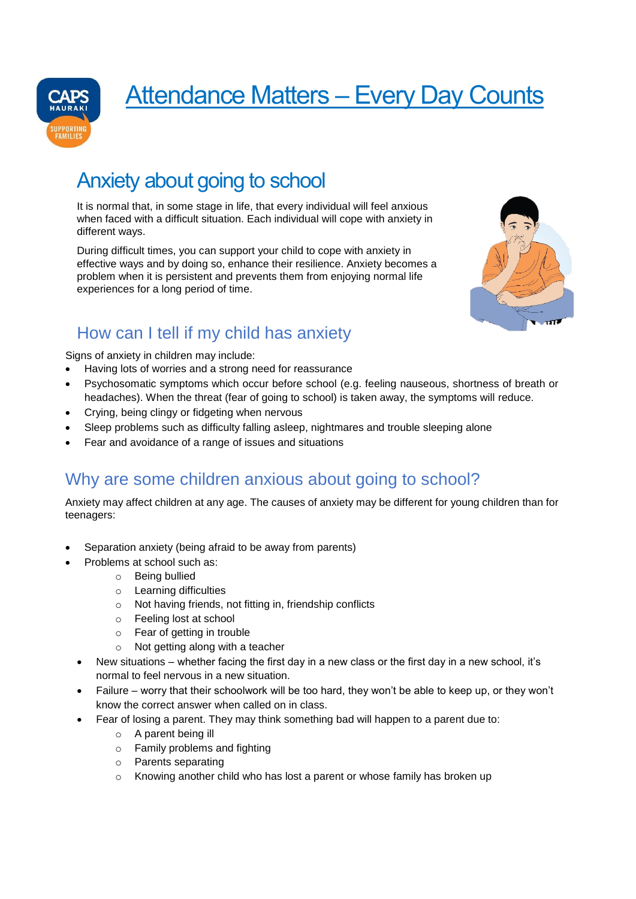

# Attendance Matters – Every Day Counts

## Anxiety about going to school

It is normal that, in some stage in life, that every individual will feel anxious when faced with a difficult situation. Each individual will cope with anxiety in different ways.

During difficult times, you can support your child to cope with anxiety in effective ways and by doing so, enhance their resilience. Anxiety becomes a problem when it is persistent and prevents them from enjoying normal life experiences for a long period of time.



### How can I tell if my child has anxiety

Signs of anxiety in children may include:

- Having lots of worries and a strong need for reassurance
- Psychosomatic symptoms which occur before school (e.g. feeling nauseous, shortness of breath or headaches). When the threat (fear of going to school) is taken away, the symptoms will reduce.
- Crying, being clingy or fidgeting when nervous
- Sleep problems such as difficulty falling asleep, nightmares and trouble sleeping alone
- Fear and avoidance of a range of issues and situations

#### Why are some children anxious about going to school?

Anxiety may affect children at any age. The causes of anxiety may be different for young children than for teenagers:

- Separation anxiety (being afraid to be away from parents)
	- Problems at school such as:
		- o Being bullied
		- o Learning difficulties
		- o Not having friends, not fitting in, friendship conflicts
		- o Feeling lost at school
		- o Fear of getting in trouble
		- o Not getting along with a teacher
	- New situations whether facing the first day in a new class or the first day in a new school, it's normal to feel nervous in a new situation.
	- Failure worry that their schoolwork will be too hard, they won't be able to keep up, or they won't know the correct answer when called on in class.
	- Fear of losing a parent. They may think something bad will happen to a parent due to:
		- o A parent being ill
		- o Family problems and fighting
		- o Parents separating
		- o Knowing another child who has lost a parent or whose family has broken up